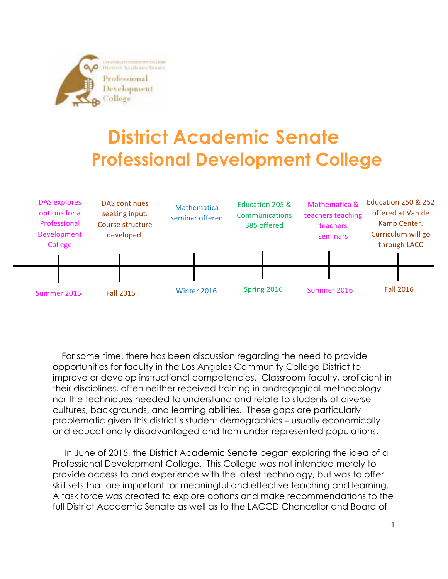

## **District Academic Senate Professional Development College**



 For some time, there has been discussion regarding the need to provide opportunities for faculty in the Los Angeles Community College District to improve or develop instructional competencies. Classroom faculty, proficient in their disciplines, often neither received training in andragogical methodology nor the techniques needed to understand and relate to students of diverse cultures, backgrounds, and learning abilities. These gaps are particularly problematic given this district's student demographics – usually economically and educationally disadvantaged and from under-represented populations.

 In June of 2015, the District Academic Senate began exploring the idea of a Professional Development College. This College was not intended merely to provide access to and experience with the latest technology, but was to offer skill sets that are important for meaningful and effective teaching and learning. A task force was created to explore options and make recommendations to the full District Academic Senate as well as to the LACCD Chancellor and Board of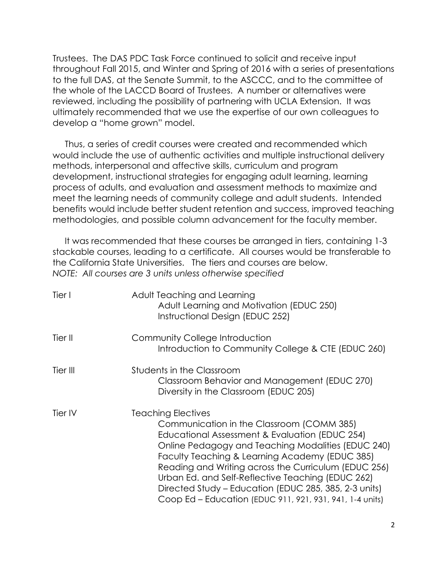Trustees. The DAS PDC Task Force continued to solicit and receive input throughout Fall 2015, and Winter and Spring of 2016 with a series of presentations to the full DAS, at the Senate Summit, to the ASCCC, and to the committee of the whole of the LACCD Board of Trustees. A number or alternatives were reviewed, including the possibility of partnering with UCLA Extension. It was ultimately recommended that we use the expertise of our own colleagues to develop a "home grown" model.

 Thus, a series of credit courses were created and recommended which would include the use of authentic activities and multiple instructional delivery methods, interpersonal and affective skills, curriculum and program development, instructional strategies for engaging adult learning, learning process of adults, and evaluation and assessment methods to maximize and meet the learning needs of community college and adult students. Intended benefits would include better student retention and success, improved teaching methodologies, and possible column advancement for the faculty member.

 It was recommended that these courses be arranged in tiers, containing 1-3 stackable courses, leading to a certificate. All courses would be transferable to the California State Universities. The tiers and courses are below. *NOTE: All courses are 3 units unless otherwise specified*

| Tier I   | Adult Teaching and Learning<br>Adult Learning and Motivation (EDUC 250)<br>Instructional Design (EDUC 252)                                                                                                                                                                                                                                                                                                                                                         |
|----------|--------------------------------------------------------------------------------------------------------------------------------------------------------------------------------------------------------------------------------------------------------------------------------------------------------------------------------------------------------------------------------------------------------------------------------------------------------------------|
| Tier II  | Community College Introduction<br>Introduction to Community College & CTE (EDUC 260)                                                                                                                                                                                                                                                                                                                                                                               |
| Tier III | Students in the Classroom<br>Classroom Behavior and Management (EDUC 270)<br>Diversity in the Classroom (EDUC 205)                                                                                                                                                                                                                                                                                                                                                 |
| Tier IV  | <b>Teaching Electives</b><br>Communication in the Classroom (COMM 385)<br>Educational Assessment & Evaluation (EDUC 254)<br>Online Pedagogy and Teaching Modalities (EDUC 240)<br>Faculty Teaching & Learning Academy (EDUC 385)<br>Reading and Writing across the Curriculum (EDUC 256)<br>Urban Ed. and Self-Reflective Teaching (EDUC 262)<br>Directed Study - Education (EDUC 285, 385, 2-3 units)<br>Coop Ed – Education (EDUC 911, 921, 931, 941, 1-4 units) |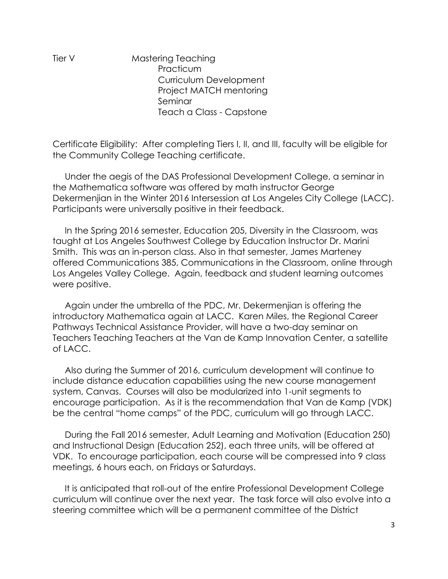Tier V Mastering Teaching **Practicum** Curriculum Development Project MATCH mentoring Seminar Teach a Class - Capstone

Certificate Eligibility: After completing Tiers I, II, and III, faculty will be eligible for the Community College Teaching certificate.

 Under the aegis of the DAS Professional Development College, a seminar in the Mathematica software was offered by math instructor George Dekermenjian in the Winter 2016 Intersession at Los Angeles City College (LACC). Participants were universally positive in their feedback.

 In the Spring 2016 semester, Education 205, Diversity in the Classroom, was taught at Los Angeles Southwest College by Education Instructor Dr. Marini Smith. This was an in-person class. Also in that semester, James Marteney offered Communications 385, Communications in the Classroom, online through Los Angeles Valley College. Again, feedback and student learning outcomes were positive.

 Again under the umbrella of the PDC, Mr. Dekermenjian is offering the introductory Mathematica again at LACC. Karen Miles, the Regional Career Pathways Technical Assistance Provider, will have a two-day seminar on Teachers Teaching Teachers at the Van de Kamp Innovation Center, a satellite of LACC.

 Also during the Summer of 2016, curriculum development will continue to include distance education capabilities using the new course management system, Canvas. Courses will also be modularized into 1-unit segments to encourage participation. As it is the recommendation that Van de Kamp (VDK) be the central "home camps" of the PDC, curriculum will go through LACC.

 During the Fall 2016 semester, Adult Learning and Motivation (Education 250) and Instructional Design (Education 252), each three units, will be offered at VDK. To encourage participation, each course will be compressed into 9 class meetings, 6 hours each, on Fridays or Saturdays.

 It is anticipated that roll-out of the entire Professional Development College curriculum will continue over the next year. The task force will also evolve into a steering committee which will be a permanent committee of the District